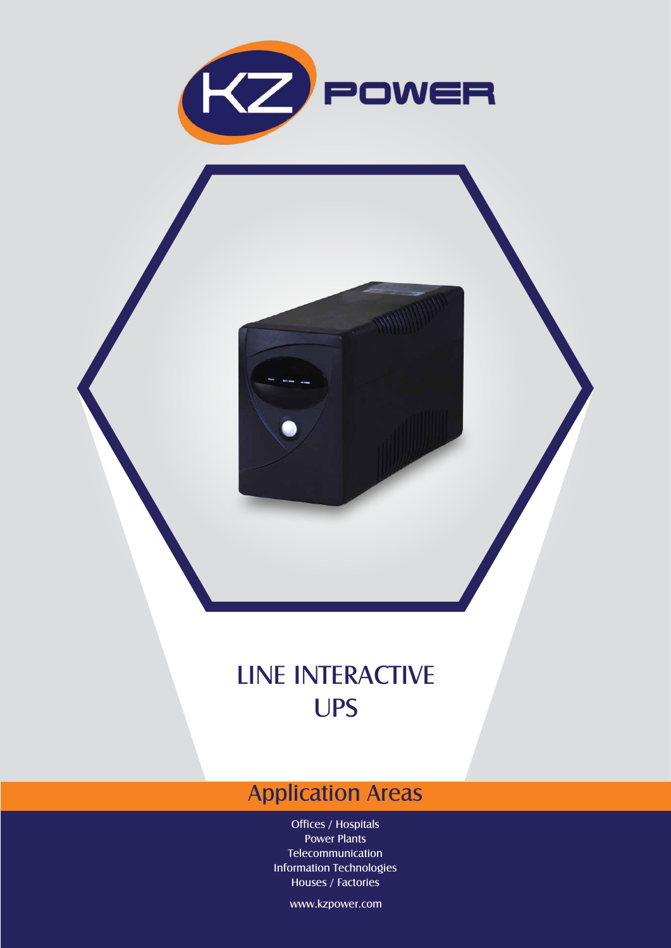

## LINE INTERACTIVE UPS

## Application Areas

Offices / Hospitals Power Plants Telecommunication Information Technologies Houses / Factories

www.kzpower.com